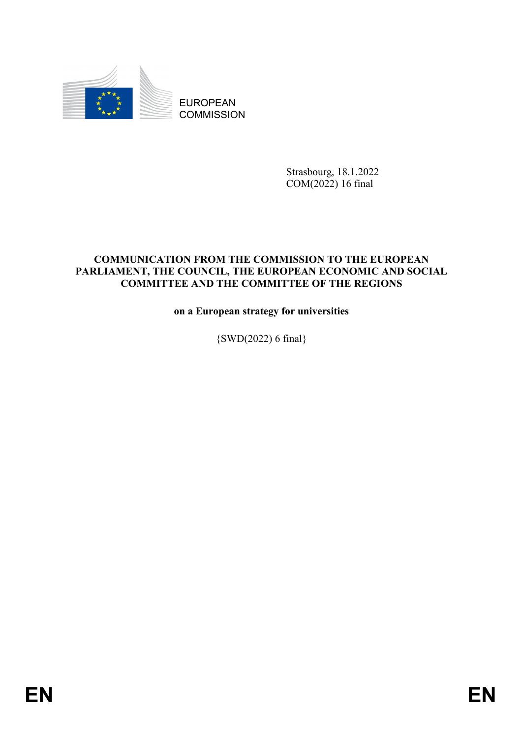

EUROPEAN **COMMISSION** 

> Strasbourg, 18.1.2022 COM(2022) 16 final

### **COMMUNICATION FROM THE COMMISSION TO THE EUROPEAN PARLIAMENT, THE COUNCIL, THE EUROPEAN ECONOMIC AND SOCIAL COMMITTEE AND THE COMMITTEE OF THE REGIONS**

**on a European strategy for universities**

{SWD(2022) 6 final}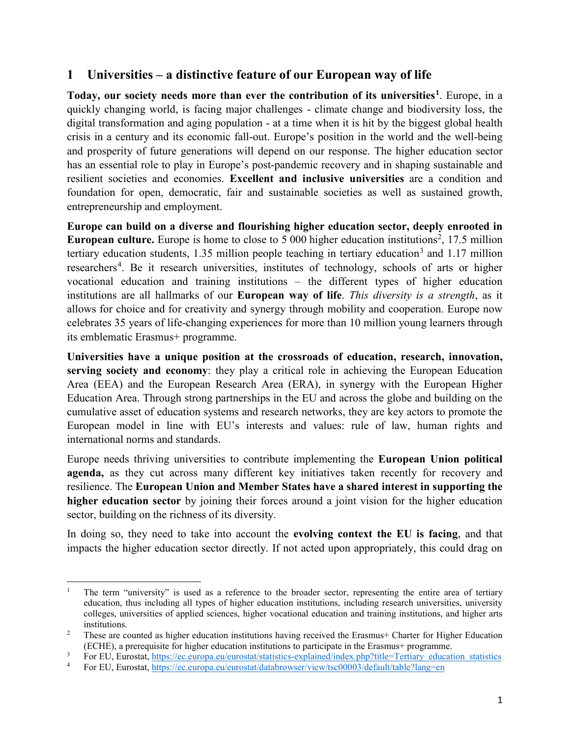## **1 Universities – a distinctive feature of our European way of life**

**Today, our society needs more than ever the contribution of its universities[1](#page-1-0)**. Europe, in a quickly changing world, is facing major challenges - climate change and biodiversity loss, the digital transformation and aging population - at a time when it is hit by the biggest global health crisis in a century and its economic fall-out. Europe's position in the world and the well-being and prosperity of future generations will depend on our response. The higher education sector has an essential role to play in Europe's post-pandemic recovery and in shaping sustainable and resilient societies and economies. **Excellent and inclusive universities** are a condition and foundation for open, democratic, fair and sustainable societies as well as sustained growth, entrepreneurship and employment.

**Europe can build on a diverse and flourishing higher education sector, deeply enrooted in European culture.** Europe is home to close to 5 000 higher education institutions<sup>[2](#page-1-1)</sup>, 17.5 million tertiary education students, 1.[3](#page-1-2)5 million people teaching in tertiary education<sup>3</sup> and 1.17 million researchers<sup>[4](#page-1-3)</sup>. Be it research universities, institutes of technology, schools of arts or higher vocational education and training institutions – the different types of higher education institutions are all hallmarks of our **European way of life**. *This diversity is a strength*, as it allows for choice and for creativity and synergy through mobility and cooperation. Europe now celebrates 35 years of life-changing experiences for more than 10 million young learners through its emblematic Erasmus+ programme.

**Universities have a unique position at the crossroads of education, research, innovation, serving society and economy**: they play a critical role in achieving the European Education Area (EEA) and the European Research Area (ERA), in synergy with the European Higher Education Area. Through strong partnerships in the EU and across the globe and building on the cumulative asset of education systems and research networks, they are key actors to promote the European model in line with EU's interests and values: rule of law, human rights and international norms and standards.

Europe needs thriving universities to contribute implementing the **European Union political agenda,** as they cut across many different key initiatives taken recently for recovery and resilience. The **European Union and Member States have a shared interest in supporting the higher education sector** by joining their forces around a joint vision for the higher education sector, building on the richness of its diversity.

In doing so, they need to take into account the **evolving context the EU is facing**, and that impacts the higher education sector directly. If not acted upon appropriately, this could drag on

<span id="page-1-0"></span><sup>1</sup> The term "university" is used as a reference to the broader sector, representing the entire area of tertiary education, thus including all types of higher education institutions, including research universities, university colleges, universities of applied sciences, higher vocational education and training institutions, and higher arts institutions.

<span id="page-1-1"></span><sup>&</sup>lt;sup>2</sup> These are counted as higher education institutions having received the Erasmus+ Charter for Higher Education (ECHE), a prerequisite for higher education institutions to participate in the Erasmus+ programme.

<span id="page-1-2"></span><sup>&</sup>lt;sup>3</sup> For EU, Eurostat, [https://ec.europa.eu/eurostat/statistics-explained/index.php?title=Tertiary\\_education\\_statistics](https://ec.europa.eu/eurostat/statistics-explained/index.php?title=Tertiary_education_statistics)<br><sup>4</sup> For EU, Eurostat, https://ec.europa.eu/eurostat/databrowser/view/tsc00003/default/table?lang=en

<span id="page-1-3"></span><sup>4</sup> For EU, Eurostat,<https://ec.europa.eu/eurostat/databrowser/view/tsc00003/default/table?lang=en>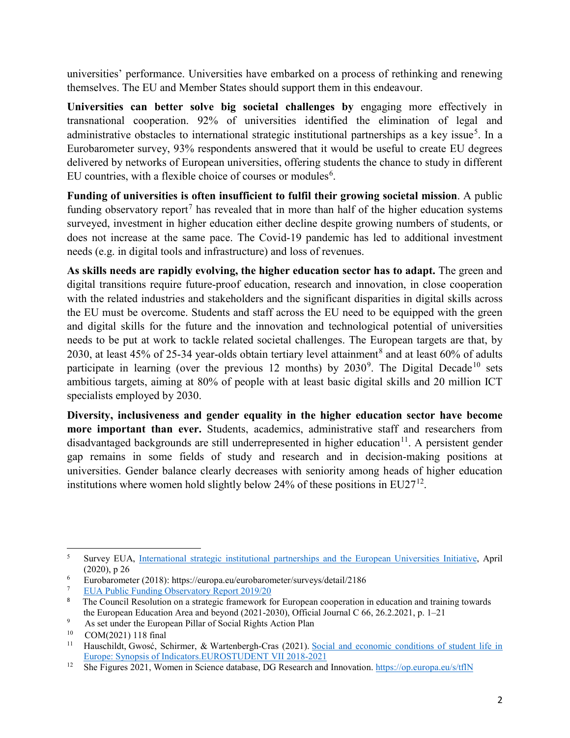universities' performance. Universities have embarked on a process of rethinking and renewing themselves. The EU and Member States should support them in this endeavour.

**Universities can better solve big societal challenges by** engaging more effectively in transnational cooperation. 92% of universities identified the elimination of legal and administrative obstacles to international strategic institutional partnerships as a key issue<sup>[5](#page-2-0)</sup>. In a Eurobarometer survey, 93% respondents answered that it would be useful to create EU degrees delivered by networks of European universities, offering students the chance to study in different EU countries, with a flexible choice of courses or modules<sup>[6](#page-2-1)</sup>.

**Funding of universities is often insufficient to fulfil their growing societal mission**. A public funding observatory report<sup>[7](#page-2-2)</sup> has revealed that in more than half of the higher education systems surveyed, investment in higher education either decline despite growing numbers of students, or does not increase at the same pace. The Covid-19 pandemic has led to additional investment needs (e.g. in digital tools and infrastructure) and loss of revenues.

**As skills needs are rapidly evolving, the higher education sector has to adapt.** The green and digital transitions require future-proof education, research and innovation, in close cooperation with the related industries and stakeholders and the significant disparities in digital skills across the EU must be overcome. Students and staff across the EU need to be equipped with the green and digital skills for the future and the innovation and technological potential of universities needs to be put at work to tackle related societal challenges. The European targets are that, by 2030, at least 45% of 25-34 year-olds obtain tertiary level attainment<sup>[8](#page-2-3)</sup> and at least 60% of adults participate in learning (over the previous 12 months) by 2030<sup>[9](#page-2-4)</sup>. The Digital Decade<sup>[10](#page-2-5)</sup> sets ambitious targets, aiming at 80% of people with at least basic digital skills and 20 million ICT specialists employed by 2030.

**Diversity, inclusiveness and gender equality in the higher education sector have become more important than ever.** Students, academics, administrative staff and researchers from disadvantaged backgrounds are still underrepresented in higher education<sup>11</sup>. A persistent gender gap remains in some fields of study and research and in decision-making positions at universities. Gender balance clearly decreases with seniority among heads of higher education institutions where women hold slightly below 24% of these positions in  $EU27^{12}$ .

<span id="page-2-0"></span>l <sup>5</sup> Survey EUA, [International strategic institutional partnerships and the European Universities Initiative,](https://www.eua.eu/resources/publications/925:international-strategic-institutional-partnerships-and-the-european-universities-initiative.html) April (2020), p 26

<span id="page-2-1"></span><sup>6</sup> Eurobarometer (2018): https://europa.eu/eurobarometer/surveys/detail/2186

<span id="page-2-2"></span><sup>7</sup> [EUA Public Funding Observatory Report 2019/20](https://eua.eu/resources/publications/913:eua-public-funding-observatory-report-2019-20.html)

<span id="page-2-3"></span><sup>8</sup> The Council Resolution on a strategic framework for European cooperation in education and training towards the European Education Area and beyond (2021-2030), Official Journal C 66, 26.2.2021, p. 1–21

<span id="page-2-4"></span><sup>9</sup>  As set under the European Pillar of Social Rights Action Plan

<span id="page-2-6"></span><span id="page-2-5"></span> $^{10}$  COM(2021) 118 final<br> $^{11}$  Hauschildt Gwosé So

Hauschildt, Gwosć, Schirmer, & Wartenbergh-Cras (2021). Social and economic conditions of student life in [Europe: Synopsis of Indicators.EUROSTUDENT VII 2018-2021](https://www.eurostudent.eu/download_files/documents/EUROSTUDENT_VII_Synopsis_of_Indicators.pdf)

<span id="page-2-7"></span><sup>&</sup>lt;sup>12</sup> She Figures 2021, Women in Science database, DG Research and Innovation.<https://op.europa.eu/s/tflN>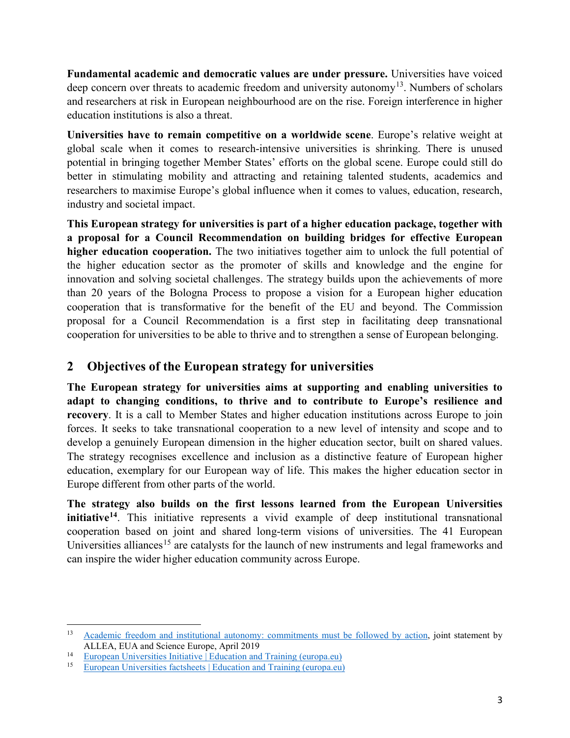**Fundamental academic and democratic values are under pressure.** Universities have voiced deep concern over threats to academic freedom and university autonomy<sup>13</sup>. Numbers of scholars and researchers at risk in European neighbourhood are on the rise. Foreign interference in higher education institutions is also a threat.

**Universities have to remain competitive on a worldwide scene**. Europe's relative weight at global scale when it comes to research-intensive universities is shrinking. There is unused potential in bringing together Member States' efforts on the global scene. Europe could still do better in stimulating mobility and attracting and retaining talented students, academics and researchers to maximise Europe's global influence when it comes to values, education, research, industry and societal impact.

**This European strategy for universities is part of a higher education package, together with a proposal for a Council Recommendation on building bridges for effective European higher education cooperation.** The two initiatives together aim to unlock the full potential of the higher education sector as the promoter of skills and knowledge and the engine for innovation and solving societal challenges. The strategy builds upon the achievements of more than 20 years of the Bologna Process to propose a vision for a European higher education cooperation that is transformative for the benefit of the EU and beyond. The Commission proposal for a Council Recommendation is a first step in facilitating deep transnational cooperation for universities to be able to thrive and to strengthen a sense of European belonging.

# **2 Objectives of the European strategy for universities**

**The European strategy for universities aims at supporting and enabling universities to adapt to changing conditions, to thrive and to contribute to Europe's resilience and recovery**. It is a call to Member States and higher education institutions across Europe to join forces. It seeks to take transnational cooperation to a new level of intensity and scope and to develop a genuinely European dimension in the higher education sector, built on shared values. The strategy recognises excellence and inclusion as a distinctive feature of European higher education, exemplary for our European way of life. This makes the higher education sector in Europe different from other parts of the world.

**The strategy also builds on the first lessons learned from the European Universities initiative[14](#page-3-1)**. This initiative represents a vivid example of deep institutional transnational cooperation based on joint and shared long-term visions of universities. The 41 European Universities alliances<sup>[15](#page-3-2)</sup> are catalysts for the launch of new instruments and legal frameworks and can inspire the wider higher education community across Europe.

l

<span id="page-3-0"></span><sup>&</sup>lt;sup>13</sup> [Academic freedom and institutional autonomy: commitments must be followed by action,](https://www.eua.eu/downloads/content/academic%20freedom%20statement%20april%202019.pdf) joint statement by ALLEA, EUA and Science Europe, April 2019

<span id="page-3-1"></span><sup>14</sup> [European Universities Initiative | Education and Training \(europa.eu\)](https://ec.europa.eu/education/education-in-the-eu/european-education-area/european-universities-initiative_en)

<span id="page-3-2"></span><sup>15</sup> [European Universities factsheets | Education and Training \(europa.eu\)](https://ec.europa.eu/education/node/690)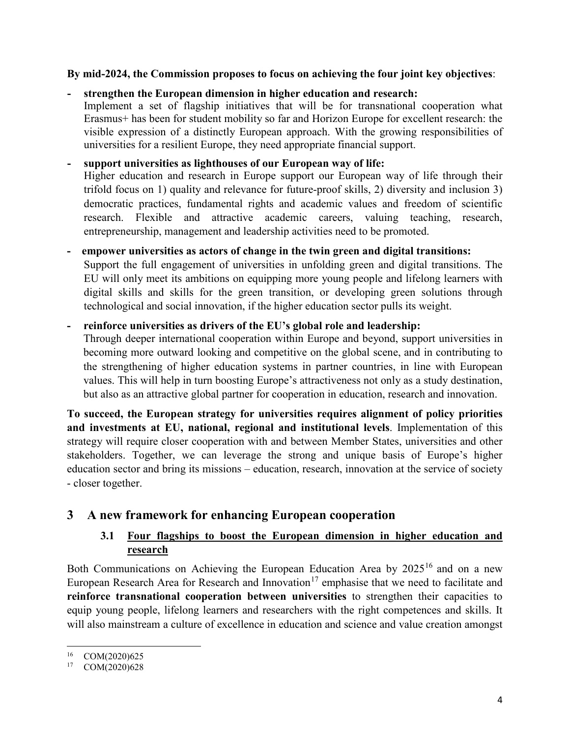#### **By mid-2024, the Commission proposes to focus on achieving the four joint key objectives**:

#### **- strengthen the European dimension in higher education and research:**

Implement a set of flagship initiatives that will be for transnational cooperation what Erasmus+ has been for student mobility so far and Horizon Europe for excellent research: the visible expression of a distinctly European approach. With the growing responsibilities of universities for a resilient Europe, they need appropriate financial support.

#### **- support universities as lighthouses of our European way of life:**

Higher education and research in Europe support our European way of life through their trifold focus on 1) quality and relevance for future-proof skills, 2) diversity and inclusion 3) democratic practices, fundamental rights and academic values and freedom of scientific research. Flexible and attractive academic careers, valuing teaching, research, entrepreneurship, management and leadership activities need to be promoted.

#### **- empower universities as actors of change in the twin green and digital transitions:**

Support the full engagement of universities in unfolding green and digital transitions. The EU will only meet its ambitions on equipping more young people and lifelong learners with digital skills and skills for the green transition, or developing green solutions through technological and social innovation, if the higher education sector pulls its weight.

#### **- reinforce universities as drivers of the EU's global role and leadership:**

Through deeper international cooperation within Europe and beyond, support universities in becoming more outward looking and competitive on the global scene, and in contributing to the strengthening of higher education systems in partner countries, in line with European values. This will help in turn boosting Europe's attractiveness not only as a study destination, but also as an attractive global partner for cooperation in education, research and innovation.

**To succeed, the European strategy for universities requires alignment of policy priorities and investments at EU, national, regional and institutional levels**. Implementation of this strategy will require closer cooperation with and between Member States, universities and other stakeholders. Together, we can leverage the strong and unique basis of Europe's higher education sector and bring its missions – education, research, innovation at the service of society - closer together.

## **3 A new framework for enhancing European cooperation**

## **3.1 Four flagships to boost the European dimension in higher education and research**

Both Communications [on Achieving the European Education Area by 2025](https://eur-lex.europa.eu/legal-content/EN/TXT/?uri=CELEX%3A52020DC0625)[16](#page-4-0) and [on a new](https://eur-lex.europa.eu/legal-content/EN/TXT/PDF/?uri=CELEX:52020DC0628&from=EN)  [European Research Area for Research and Innovation](https://eur-lex.europa.eu/legal-content/EN/TXT/PDF/?uri=CELEX:52020DC0628&from=EN)<sup>[17](#page-4-1)</sup> emphasise that we need to facilitate and **reinforce transnational cooperation between universities** to strengthen their capacities to equip young people, lifelong learners and researchers with the right competences and skills. It will also mainstream a culture of excellence in education and science and value creation amongst

<span id="page-4-1"></span><span id="page-4-0"></span> $^{16}$  COM(2020)625<br><sup>17</sup> COM(2020)628

COM(2020)628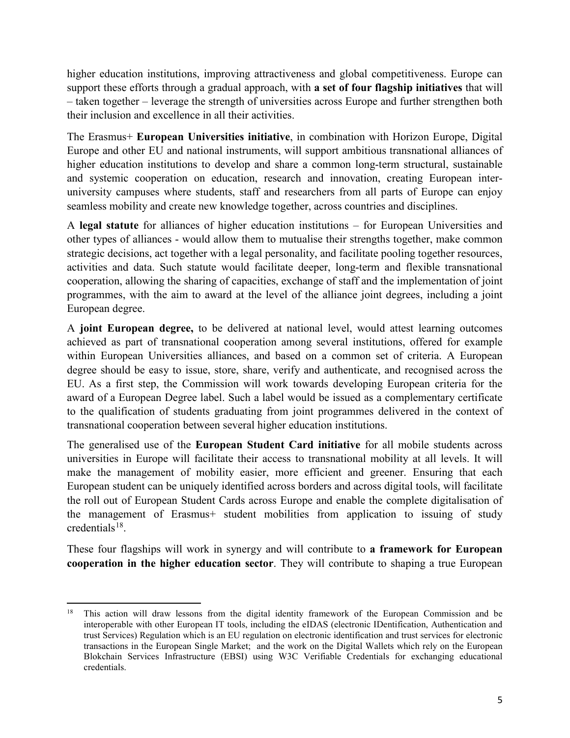higher education institutions, improving attractiveness and global competitiveness. Europe can support these efforts through a gradual approach, with **a set of four flagship initiatives** that will – taken together – leverage the strength of universities across Europe and further strengthen both their inclusion and excellence in all their activities.

The Erasmus+ **European Universities initiative**, in combination with Horizon Europe, Digital Europe and other EU and national instruments, will support ambitious transnational alliances of higher education institutions to develop and share a common long-term structural, sustainable and systemic cooperation on education, research and innovation, creating European interuniversity campuses where students, staff and researchers from all parts of Europe can enjoy seamless mobility and create new knowledge together, across countries and disciplines.

A **legal statute** for alliances of higher education institutions – for European Universities and other types of alliances - would allow them to mutualise their strengths together, make common strategic decisions, act together with a legal personality, and facilitate pooling together resources, activities and data. Such statute would facilitate deeper, long-term and flexible transnational cooperation, allowing the sharing of capacities, exchange of staff and the implementation of joint programmes, with the aim to award at the level of the alliance joint degrees, including a joint European degree.

A **joint European degree,** to be delivered at national level, would attest learning outcomes achieved as part of transnational cooperation among several institutions, offered for example within European Universities alliances, and based on a common set of criteria. A European degree should be easy to issue, store, share, verify and authenticate, and recognised across the EU. As a first step, the Commission will work towards developing European criteria for the award of a European Degree label. Such a label would be issued as a complementary certificate to the qualification of students graduating from joint programmes delivered in the context of transnational cooperation between several higher education institutions.

The generalised use of the **European Student Card initiative** for all mobile students across universities in Europe will facilitate their access to transnational mobility at all levels. It will make the management of mobility easier, more efficient and greener. Ensuring that each European student can be uniquely identified across borders and across digital tools, will facilitate the roll out of European Student Cards across Europe and enable the complete digitalisation of the management of Erasmus+ student mobilities from application to issuing of study credentials $18$ .

These four flagships will work in synergy and will contribute to **a framework for European cooperation in the higher education sector**. They will contribute to shaping a true European

<span id="page-5-0"></span><sup>&</sup>lt;sup>18</sup> This action will draw lessons from the digital identity framework of the European Commission and be interoperable with other European IT tools, including the eIDAS (electronic IDentification, Authentication and trust Services) Regulation which is an EU regulation on electronic identification and trust services for electronic transactions in the European Single Market; and the work on the Digital Wallets which rely on the European Blokchain Services Infrastructure (EBSI) using W3C Verifiable Credentials for exchanging educational credentials.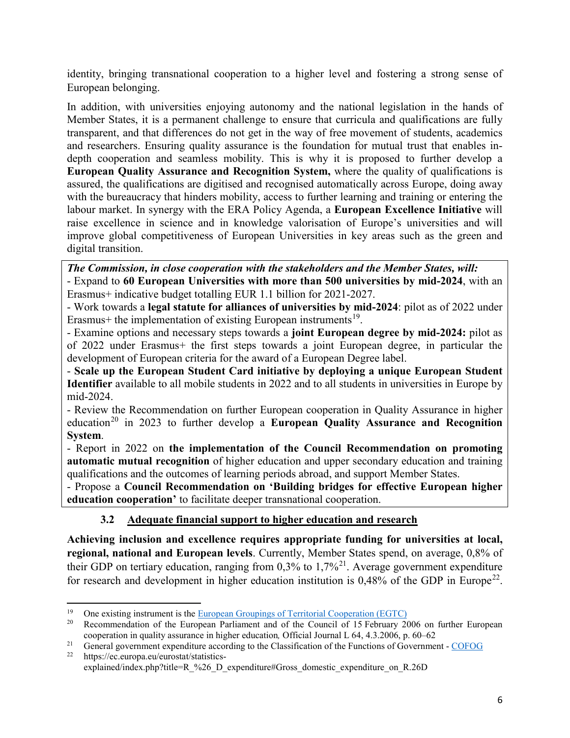identity, bringing transnational cooperation to a higher level and fostering a strong sense of European belonging.

In addition, with universities enjoying autonomy and the national legislation in the hands of Member States, it is a permanent challenge to ensure that curricula and qualifications are fully transparent, and that differences do not get in the way of free movement of students, academics and researchers. Ensuring quality assurance is the foundation for mutual trust that enables indepth cooperation and seamless mobility. This is why it is proposed to further develop a **European Quality Assurance and Recognition System,** where the quality of qualifications is assured, the qualifications are digitised and recognised automatically across Europe, doing away with the bureaucracy that hinders mobility, access to further learning and training or entering the labour market. In synergy with the ERA Policy Agenda, a **European Excellence Initiative** will raise excellence in science and in knowledge valorisation of Europe's universities and will improve global competitiveness of European Universities in key areas such as the green and digital transition.

*The Commission, in close cooperation with the stakeholders and the Member States, will:*  - Expand to **60 European Universities with more than 500 universities by mid-2024**, with an Erasmus+ indicative budget totalling EUR 1.1 billion for 2021-2027.

- Work towards a **legal statute for alliances of universities by mid-2024**: pilot as of 2022 under Erasmus+ the implementation of existing European instruments<sup>19</sup>.

- Examine options and necessary steps towards a **joint European degree by mid-2024:** pilot as of 2022 under Erasmus+ the first steps towards a joint European degree, in particular the development of European criteria for the award of a European Degree label.

- **Scale up the European Student Card initiative by deploying a unique European Student Identifier** available to all mobile students in 2022 and to all students in universities in Europe by mid-2024.

- Review the Recommendation on further European cooperation in Quality Assurance in higher education<sup>[20](#page-6-1)</sup> in 2023 to further develop a **European Quality Assurance and Recognition System**.

- Report in 2022 on **the implementation of the Council Recommendation on promoting automatic mutual recognition** of higher education and upper secondary education and training qualifications and the outcomes of learning periods abroad, and support Member States.

- Propose a **Council Recommendation on 'Building bridges for effective European higher education cooperation'** to facilitate deeper transnational cooperation.

## **3.2 Adequate financial support to higher education and research**

**Achieving inclusion and excellence requires appropriate funding for universities at local, regional, national and European levels**. Currently, Member States spend, on average, 0,8% of their GDP on tertiary education, ranging from  $0.3\%$  to  $1.7\%$ <sup>[21](#page-6-2)</sup>. Average government expenditure for research and development in higher education institution is  $0.48\%$  of the GDP in Europe<sup>[22](#page-6-3)</sup>.

<span id="page-6-1"></span><span id="page-6-0"></span><sup>&</sup>lt;sup>19</sup> One existing instrument is the <u>European Groupings of Territorial Cooperation (EGTC)</u><br><sup>20</sup> Recommendation of the European Parliament and of the Council of 15 February 2006 on further European cooperation in quality assurance in higher education*,* Official Journal L 64, 4.3.2006, p. 60–62

<span id="page-6-2"></span><sup>&</sup>lt;sup>21</sup> General government expenditure according to the Classification of the Functions of Government - [COFOG](https://ec.europa.eu/eurostat/statistics-explained/index.php?title=Government_expenditure_by_function_%E2%80%93_COFOG)  $\frac{22}{\pi}$ 

<span id="page-6-3"></span>https://ec.europa.eu/eurostat/statisticsexplained/index.php?title=R %26 D\_expenditure#Gross\_domestic\_expenditure\_on\_R.26D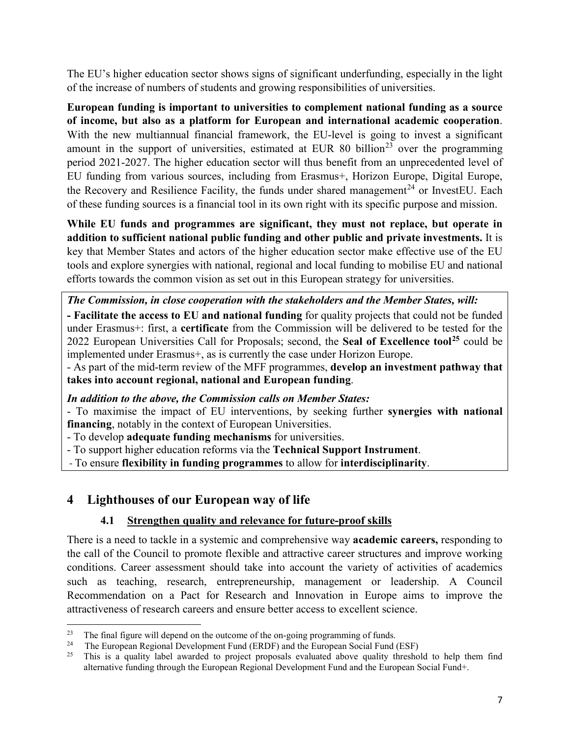The EU's higher education sector shows signs of significant underfunding, especially in the light of the increase of numbers of students and growing responsibilities of universities.

**European funding is important to universities to complement national funding as a source of income, but also as a platform for European and international academic cooperation**. With the new multiannual financial framework, the EU-level is going to invest a significant amount in the support of universities, estimated at EUR 80 billion<sup>[23](#page-7-0)</sup> over the programming period 2021-2027. The higher education sector will thus benefit from an unprecedented level of EU funding from various sources, including from Erasmus+, Horizon Europe, Digital Europe, the Recovery and Resilience Facility, the funds under shared management<sup>[24](#page-7-1)</sup> or InvestEU. Each of these funding sources is a financial tool in its own right with its specific purpose and mission.

**While EU funds and programmes are significant, they must not replace, but operate in addition to sufficient national public funding and other public and private investments.** It is key that Member States and actors of the higher education sector make effective use of the EU tools and explore synergies with national, regional and local funding to mobilise EU and national efforts towards the common vision as set out in this European strategy for universities.

*The Commission, in close cooperation with the stakeholders and the Member States, will:* 

**- Facilitate the access to EU and national funding** for quality projects that could not be funded under Erasmus+: first, a **certificate** from the Commission will be delivered to be tested for the 2022 European Universities Call for Proposals; second, the **Seal of Excellence tool[25](#page-7-2)** could be implemented under Erasmus+, as is currently the case under Horizon Europe.

- As part of the mid-term review of the MFF programmes, **develop an investment pathway that takes into account regional, national and European funding**.

*In addition to the above, the Commission calls on Member States:*

- To maximise the impact of EU interventions, by seeking further **synergies with national financing**, notably in the context of European Universities.

- To develop **adequate funding mechanisms** for universities.

- To support higher education reforms via the **Technical Support Instrument**.

- To ensure **flexibility in funding programmes** to allow for **interdisciplinarity**.

# **4 Lighthouses of our European way of life**

l

## **4.1 Strengthen quality and relevance for future-proof skills**

There is a need to tackle in a systemic and comprehensive way **academic careers,** responding to the call of the Council to promote flexible and attractive career structures and improve working conditions. Career assessment should take into account the variety of activities of academics such as teaching, research, entrepreneurship, management or leadership. A Council Recommendation on a Pact for Research and Innovation in Europe aims to improve the attractiveness of research careers and ensure better access to excellent science.

<span id="page-7-0"></span><sup>&</sup>lt;sup>23</sup> The final figure will depend on the outcome of the on-going programming of funds.<br><sup>24</sup> The European Beginnal Development Euro (EBDE) and the European Seciel Euro

<span id="page-7-2"></span><span id="page-7-1"></span><sup>&</sup>lt;sup>24</sup> The European Regional Development Fund (ERDF) and the European Social Fund (ESF)

<sup>25</sup> This is a quality label awarded to project proposals evaluated above quality threshold to help them find alternative funding through the European Regional Development Fund and the European Social Fund+.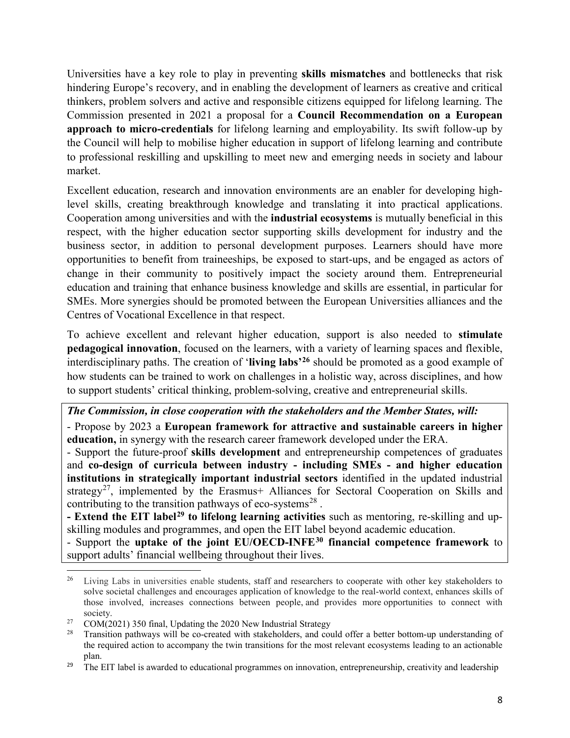Universities have a key role to play in preventing **skills mismatches** and bottlenecks that risk hindering Europe's recovery, and in enabling the development of learners as creative and critical thinkers, problem solvers and active and responsible citizens equipped for lifelong learning. The Commission presented in 2021 a proposal for a **Council Recommendation on a European approach to micro-credentials** for lifelong learning and employability. Its swift follow-up by the Council will help to mobilise higher education in support of lifelong learning and contribute to professional reskilling and upskilling to meet new and emerging needs in society and labour market.

Excellent education, research and innovation environments are an enabler for developing highlevel skills, creating breakthrough knowledge and translating it into practical applications. Cooperation among universities and with the **industrial ecosystems** is mutually beneficial in this respect, with the higher education sector supporting skills development for industry and the business sector, in addition to personal development purposes. Learners should have more opportunities to benefit from traineeships, be exposed to start-ups, and be engaged as actors of change in their community to positively impact the society around them. Entrepreneurial education and training that enhance business knowledge and skills are essential, in particular for SMEs. More synergies should be promoted between the European Universities alliances and the Centres of Vocational Excellence in that respect.

To achieve excellent and relevant higher education, support is also needed to **stimulate pedagogical innovation**, focused on the learners, with a variety of learning spaces and flexible, interdisciplinary paths. The creation of '**living labs'[26](#page-8-0)** should be promoted as a good example of how students can be trained to work on challenges in a holistic way, across disciplines, and how to support students' critical thinking, problem-solving, creative and entrepreneurial skills.

*The Commission, in close cooperation with the stakeholders and the Member States, will:* 

- Propose by 2023 a **European framework for attractive and sustainable careers in higher education,** in synergy with the research career framework developed under the ERA.

- Support the future-proof **skills development** and entrepreneurship competences of graduates and **co-design of curricula between industry - including SMEs - and higher education institutions in strategically important industrial sectors** identified in the updated industrial strategy<sup>27</sup>, implemented by the Erasmus+ Alliances for Sectoral Cooperation on Skills and contributing to the transition pathways of eco-systems<sup>[28](#page-8-2)</sup>.

**- Extend the EIT label[29](#page-8-3) to lifelong learning activities** such as mentoring, re-skilling and upskilling modules and programmes, and open the EIT label beyond academic education.

- Support the **uptake of the joint EU/OECD-INFE[30](#page-8-4) financial competence framework** to support adults' financial wellbeing throughout their lives.

<span id="page-8-0"></span> $\overline{a}$ <sup>26</sup> Living Labs in universities enable students, staff and researchers to cooperate with other key stakeholders to solve societal challenges and encourages application of knowledge to the real-world context, enhances skills of those involved, increases connections between people, and provides more opportunities to connect with society.<br><sup>27</sup> COM(2021) 350 final, Updating the 2020 New Industrial Strategy

<span id="page-8-2"></span><span id="page-8-1"></span><sup>&</sup>lt;sup>28</sup> Transition pathways will be co-created with stakeholders, and could offer a better bottom-up understanding of the required action to accompany the twin transitions for the most relevant ecosystems leading to an actionable plan.

<span id="page-8-4"></span><span id="page-8-3"></span><sup>&</sup>lt;sup>29</sup> The EIT label is awarded to educational programmes on innovation, entrepreneurship, creativity and leadership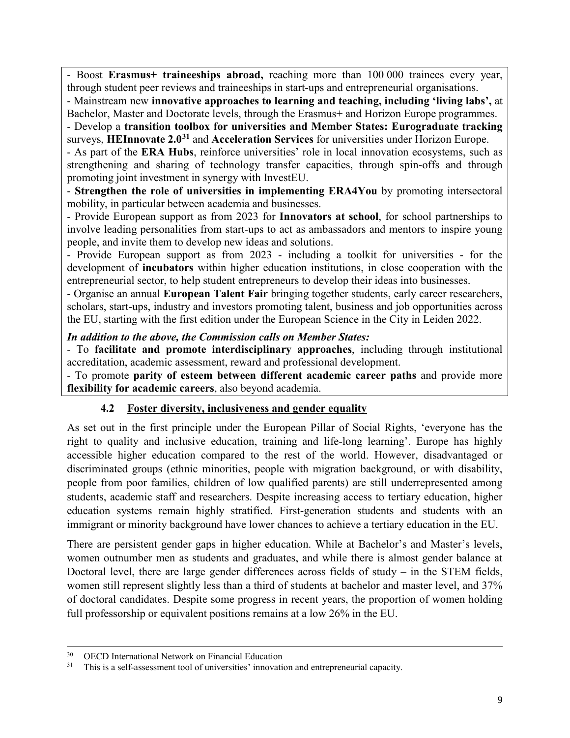- Boost **Erasmus+ traineeships abroad,** reaching more than 100 000 trainees every year, through student peer reviews and traineeships in start-ups and entrepreneurial organisations.

- Mainstream new **innovative approaches to learning and teaching, including 'living labs',** at Bachelor, Master and Doctorate levels, through the Erasmus+ and Horizon Europe programmes.

- Develop a **transition toolbox for universities and Member States: Eurograduate tracking** surveys, **HEInnovate 2.0[31](#page-9-0)** and **Acceleration Services** for universities under Horizon Europe.

- As part of the **ERA Hubs**, reinforce universities' role in local innovation ecosystems, such as strengthening and sharing of technology transfer capacities, through spin-offs and through promoting joint investment in synergy with InvestEU.

- **Strengthen the role of universities in implementing ERA4You** by promoting intersectoral mobility, in particular between academia and businesses.

- Provide European support as from 2023 for **Innovators at school**, for school partnerships to involve leading personalities from start-ups to act as ambassadors and mentors to inspire young people, and invite them to develop new ideas and solutions.

- Provide European support as from 2023 - including a toolkit for universities - for the development of **incubators** within higher education institutions, in close cooperation with the entrepreneurial sector, to help student entrepreneurs to develop their ideas into businesses.

- Organise an annual **European Talent Fair** bringing together students, early career researchers, scholars, start-ups, industry and investors promoting talent, business and job opportunities across the EU, starting with the first edition under the European Science in the City in Leiden 2022.

#### *In addition to the above, the Commission calls on Member States:*

- To **facilitate and promote interdisciplinary approaches**, including through institutional accreditation, academic assessment, reward and professional development.

- To promote **parity of esteem between different academic career paths** and provide more **flexibility for academic careers**, also beyond academia.

### **4.2 Foster diversity, inclusiveness and gender equality**

As set out in the first principle under the European Pillar of Social Rights, 'everyone has the right to quality and inclusive education, training and life-long learning'. Europe has highly accessible higher education compared to the rest of the world. However, disadvantaged or discriminated groups (ethnic minorities, people with migration background, or with disability, people from poor families, children of low qualified parents) are still underrepresented among students, academic staff and researchers. Despite increasing access to tertiary education, higher education systems remain highly stratified. First-generation students and students with an immigrant or minority background have lower chances to achieve a tertiary education in the EU.

There are persistent gender gaps in higher education. While at Bachelor's and Master's levels, women outnumber men as students and graduates, and while there is almost gender balance at Doctoral level, there are large gender differences across fields of study – in the STEM fields, women still represent slightly less than a third of students at bachelor and master level, and 37% of doctoral candidates. Despite some progress in recent years, the proportion of women holding full professorship or equivalent positions remains at a low 26% in the EU.

<sup>30</sup> OECD International Network on Financial Education

<span id="page-9-0"></span><sup>&</sup>lt;sup>31</sup> This is a self-assessment tool of universities' innovation and entrepreneurial capacity.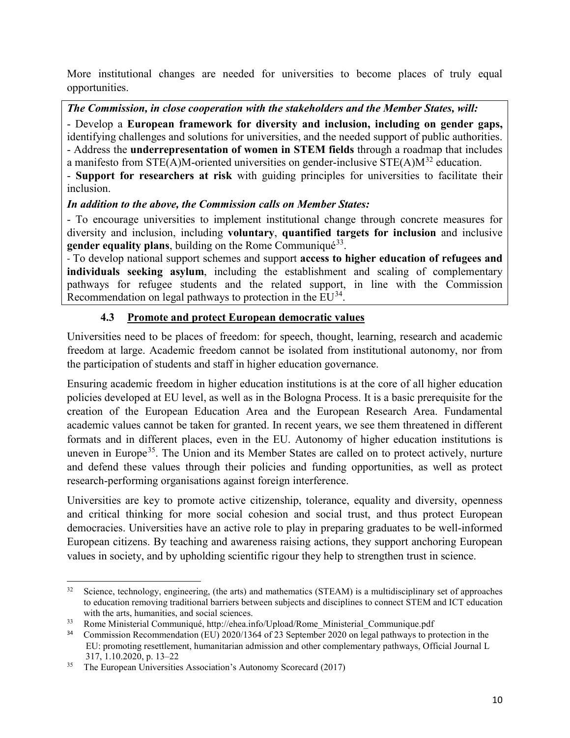More institutional changes are needed for universities to become places of truly equal opportunities.

*The Commission, in close cooperation with the stakeholders and the Member States, will:* 

- Develop a **European framework for diversity and inclusion, including on gender gaps,**  identifying challenges and solutions for universities, and the needed support of public authorities. - Address the **underrepresentation of women in STEM fields** through a roadmap that includes a manifesto from  $STE(A)M$ -oriented universities on gender-inclusive  $STE(A)M^{32}$  $STE(A)M^{32}$  $STE(A)M^{32}$  education.

- **Support for researchers at risk** with guiding principles for universities to facilitate their inclusion.

*In addition to the above, the Commission calls on Member States:*

- To encourage universities to implement institutional change through concrete measures for diversity and inclusion, including **voluntary**, **quantified targets for inclusion** and inclusive **gender equality plans**, building on the Rome Communiqué<sup>[33](#page-10-1)</sup>.

- To develop national support schemes and support **access to higher education of refugees and individuals seeking asylum**, including the establishment and scaling of complementary pathways for refugee students and the related support, in line with the Commission Recommendation on legal pathways to protection in the EU<sup>[34](#page-10-2)</sup>.

# **4.3 Promote and protect European democratic values**

Universities need to be places of freedom: for speech, thought, learning, research and academic freedom at large. Academic freedom cannot be isolated from institutional autonomy, nor from the participation of students and staff in higher education governance.

Ensuring academic freedom in higher education institutions is at the core of all higher education policies developed at EU level, as well as in the Bologna Process. It is a basic prerequisite for the creation of the European Education Area and the European Research Area. Fundamental academic values cannot be taken for granted. In recent years, we see them threatened in different formats and in different places, even in the EU. Autonomy of higher education institutions is uneven in Europe<sup>[35](#page-10-3)</sup>. The Union and its Member States are called on to protect actively, nurture and defend these values through their policies and funding opportunities, as well as protect research-performing organisations against foreign interference.

Universities are key to promote active citizenship, tolerance, equality and diversity, openness and critical thinking for more social cohesion and social trust, and thus protect European democracies. Universities have an active role to play in preparing graduates to be well-informed European citizens. By teaching and awareness raising actions, they support anchoring European values in society, and by upholding scientific rigour they help to strengthen trust in science.

<span id="page-10-0"></span> $32$ Science, technology, engineering, (the arts) and mathematics (STEAM) is a multidisciplinary set of approaches to education removing traditional barriers between subjects and disciplines to connect STEM and ICT education with the arts, humanities, and social sciences.

<span id="page-10-1"></span><sup>&</sup>lt;sup>33</sup> Rome Ministerial Communiqué, http://ehea.info/Upload/Rome\_Ministerial\_Communique.pdf

<span id="page-10-2"></span><sup>&</sup>lt;sup>34</sup> Commission Recommendation (EU) 2020/1364 of 23 September 2020 on legal pathways to protection in the EU: promoting resettlement, humanitarian admission and other complementary pathways, Official Journal L 317, 1.10.2020, p. 13–22

<span id="page-10-3"></span> $35$  The European Universities Association's Autonomy Scorecard (2017)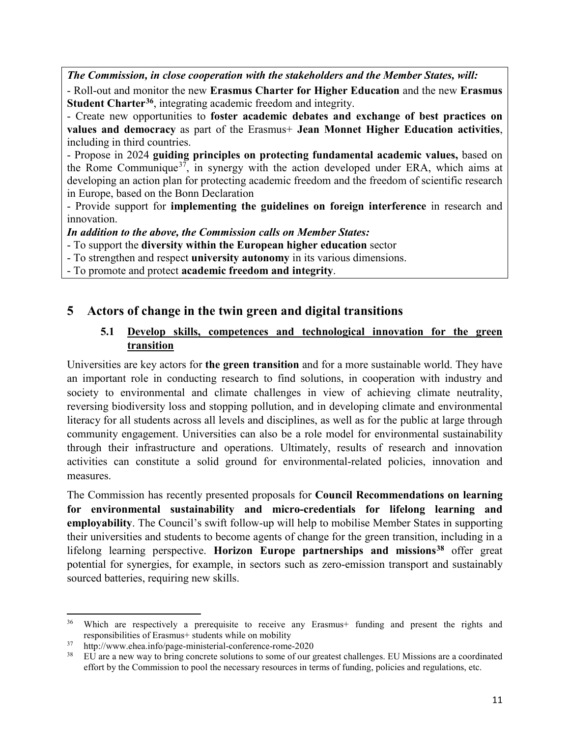*The Commission, in close cooperation with the stakeholders and the Member States, will:* 

- Roll-out and monitor the new **Erasmus Charter for Higher Education** and the new **Erasmus Student Charter[36](#page-11-0)**, integrating academic freedom and integrity.

- Create new opportunities to **foster academic debates and exchange of best practices on values and democracy** as part of the Erasmus+ **Jean Monnet Higher Education activities**, including in third countries.

- Propose in 2024 **guiding principles on protecting fundamental academic values,** based on the Rome Communique<sup>[37](#page-11-1)</sup>, in synergy with the action developed under ERA, which aims at developing an action plan for protecting academic freedom and the freedom of scientific research in Europe, based on the Bonn Declaration

- Provide support for **implementing the guidelines on foreign interference** in research and innovation.

*In addition to the above, the Commission calls on Member States:*

- To support the **diversity within the European higher education** sector
- To strengthen and respect **university autonomy** in its various dimensions.
- To promote and protect **academic freedom and integrity**.

# **5 Actors of change in the twin green and digital transitions**

### **5.1 Develop skills, competences and technological innovation for the green transition**

Universities are key actors for **the green transition** and for a more sustainable world. They have an important role in conducting research to find solutions, in cooperation with industry and society to environmental and climate challenges in view of achieving climate neutrality, reversing biodiversity loss and stopping pollution, and in developing climate and environmental literacy for all students across all levels and disciplines, as well as for the public at large through community engagement. Universities can also be a role model for environmental sustainability through their infrastructure and operations. Ultimately, results of research and innovation activities can constitute a solid ground for environmental-related policies, innovation and measures.

The Commission has recently presented proposals for **Council Recommendations on learning for environmental sustainability and micro-credentials for lifelong learning and employability**. The Council's swift follow-up will help to mobilise Member States in supporting their universities and students to become agents of change for the green transition, including in a lifelong learning perspective. **Horizon Europe partnerships and missions[38](#page-11-2)** offer great potential for synergies, for example, in sectors such as zero-emission transport and sustainably sourced batteries, requiring new skills.

l

<span id="page-11-0"></span><sup>&</sup>lt;sup>36</sup> Which are respectively a prerequisite to receive any Erasmus+ funding and present the rights and responsibilities of Erasmus+ students while on mobility

<span id="page-11-2"></span><span id="page-11-1"></span><sup>37</sup> http://www.ehea.info/page-ministerial-conference-rome-2020

<sup>38</sup> EU are a new way to bring concrete solutions to some of our greatest challenges. EU Missions are a coordinated effort by the Commission to pool the necessary resources in terms of funding, policies and regulations, etc.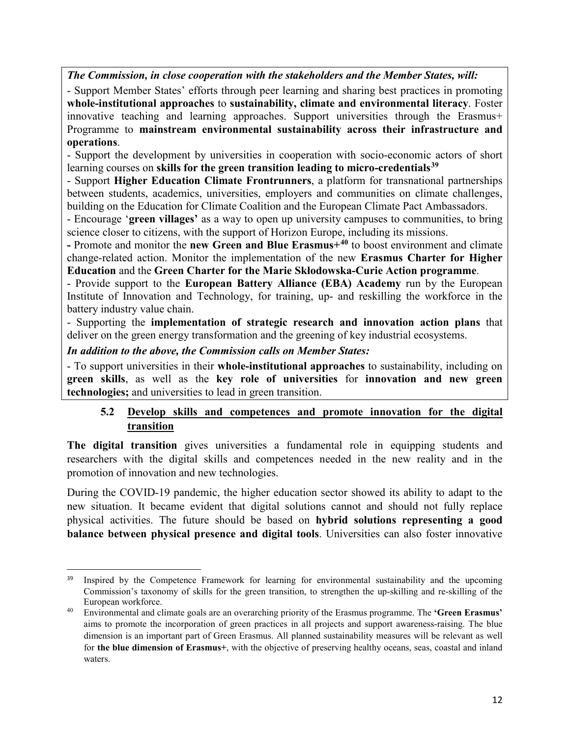*The Commission, in close cooperation with the stakeholders and the Member States, will:* 

- Support Member States' efforts through peer learning and sharing best practices in promoting **whole-institutional approaches** to **sustainability, climate and environmental literacy**. Foster innovative teaching and learning approaches. Support universities through the Erasmus+ Programme to **mainstream environmental sustainability across their infrastructure and operations**.

- Support the development by universities in cooperation with socio-economic actors of short learning courses on **skills for the green transition leading to micro-credentials[39](#page-12-0)**

- Support **Higher Education Climate Frontrunners**, a platform for transnational partnerships between students, academics, universities, employers and communities on climate challenges, building on the Education for Climate Coalition and the European Climate Pact Ambassadors.

- Encourage '**green villages'** as a way to open up university campuses to communities, to bring science closer to citizens, with the support of Horizon Europe, including its missions.

**-** Promote and monitor the **new Green and Blue Erasmus+[40](#page-12-1)** to boost environment and climate change-related action. Monitor the implementation of the new **Erasmus Charter for Higher Education** and the **Green Charter for the Marie Skłodowska-Curie Action programme**.

- Provide support to the **European Battery Alliance (EBA) Academy** run by the European Institute of Innovation and Technology, for training, up- and reskilling the workforce in the battery industry value chain.

- Supporting the **implementation of strategic research and innovation action plans** that deliver on the green energy transformation and the greening of key industrial ecosystems.

#### *In addition to the above, the Commission calls on Member States:*

- To support universities in their **whole-institutional approaches** to sustainability, including on **green skills**, as well as the **key role of universities** for **innovation and new green technologies;** and universities to lead in green transition.

### **5.2 Develop skills and competences and promote innovation for the digital transition**

**The digital transition** gives universities a fundamental role in equipping students and researchers with the digital skills and competences needed in the new reality and in the promotion of innovation and new technologies.

During the COVID-19 pandemic, the higher education sector showed its ability to adapt to the new situation. It became evident that digital solutions cannot and should not fully replace physical activities. The future should be based on **hybrid solutions representing a good balance between physical presence and digital tools**. Universities can also foster innovative

<span id="page-12-0"></span><sup>&</sup>lt;sup>39</sup> Inspired by the Competence Framework for learning for environmental sustainability and the upcoming Commission's taxonomy of skills for the green transition, to strengthen the up-skilling and re-skilling of the European workforce.

<span id="page-12-1"></span><sup>40</sup> Environmental and climate goals are an overarching priority of the Erasmus programme. The **'Green Erasmus'** aims to promote the incorporation of green practices in all projects and support awareness-raising. The blue dimension is an important part of Green Erasmus. All planned sustainability measures will be relevant as well for **the blue dimension of Erasmus+**, with the objective of preserving healthy oceans, seas, coastal and inland waters.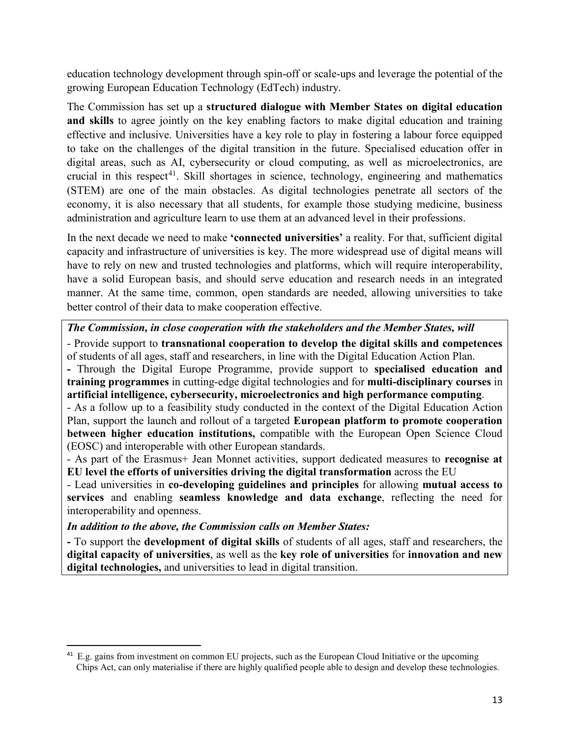education technology development through spin-off or scale-ups and leverage the potential of the growing European Education Technology (EdTech) industry.

The Commission has set up a **structured dialogue with Member States on digital education and skills** to agree jointly on the key enabling factors to make digital education and training effective and inclusive. Universities have a key role to play in fostering a labour force equipped to take on the challenges of the digital transition in the future. Specialised education offer in digital areas, such as AI, cybersecurity or cloud computing, as well as microelectronics, are crucial in this respect<sup>[41](#page-13-0)</sup>. Skill shortages in science, technology, engineering and mathematics (STEM) are one of the main obstacles. As digital technologies penetrate all sectors of the economy, it is also necessary that all students, for example those studying medicine, business administration and agriculture learn to use them at an advanced level in their professions.

In the next decade we need to make **'connected universities'** a reality. For that, sufficient digital capacity and infrastructure of universities is key. The more widespread use of digital means will have to rely on new and trusted technologies and platforms, which will require interoperability, have a solid European basis, and should serve education and research needs in an integrated manner. At the same time, common, open standards are needed, allowing universities to take better control of their data to make cooperation effective.

### *The Commission, in close cooperation with the stakeholders and the Member States, will*

- Provide support to **transnational cooperation to develop the digital skills and competences**  of students of all ages, staff and researchers, in line with the Digital Education Action Plan.

**-** Through the Digital Europe Programme, provide support to **specialised education and training programmes** in cutting-edge digital technologies and for **multi-disciplinary courses** in **artificial intelligence, cybersecurity, microelectronics and high performance computing**.

- As a follow up to a feasibility study conducted in the context of the Digital Education Action Plan, support the launch and rollout of a targeted **European platform to promote cooperation between higher education institutions,** compatible with the European Open Science Cloud (EOSC) and interoperable with other European standards.

- As part of the Erasmus+ Jean Monnet activities, support dedicated measures to **recognise at EU level the efforts of universities driving the digital transformation** across the EU

- Lead universities in **co-developing guidelines and principles** for allowing **mutual access to services** and enabling **seamless knowledge and data exchange**, reflecting the need for interoperability and openness.

### *In addition to the above, the Commission calls on Member States:*

**-** To support the **development of digital skills** of students of all ages, staff and researchers, the **digital capacity of universities**, as well as the **key role of universities** for **innovation and new digital technologies,** and universities to lead in digital transition.

<span id="page-13-0"></span><sup>&</sup>lt;sup>41</sup> E.g. gains from investment on common EU projects, such as the European Cloud Initiative or the upcoming Chips Act, can only materialise if there are highly qualified people able to design and develop these technologies.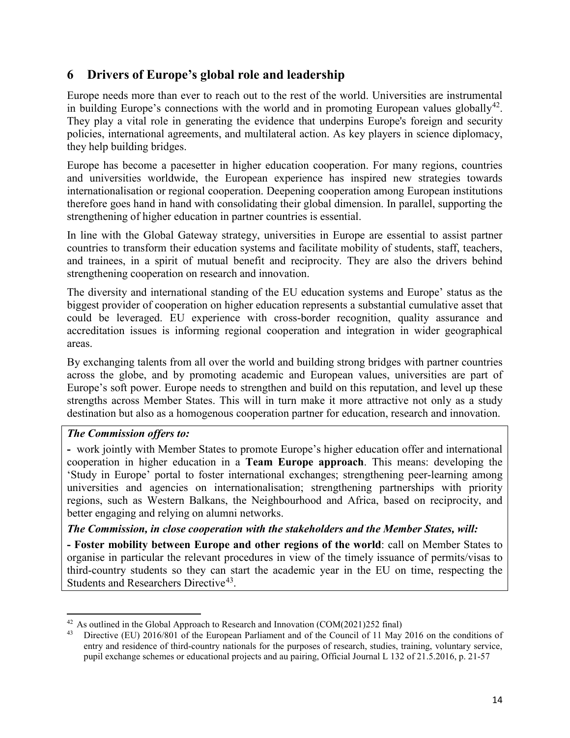# **6 Drivers of Europe's global role and leadership**

Europe needs more than ever to reach out to the rest of the world. Universities are instrumental in building Europe's connections with the world and in promoting European values globally<sup>[42](#page-14-0)</sup>. They play a vital role in generating the evidence that underpins Europe's foreign and security policies, international agreements, and multilateral action. As key players in science diplomacy, they help building bridges.

Europe has become a pacesetter in higher education cooperation. For many regions, countries and universities worldwide, the European experience has inspired new strategies towards internationalisation or regional cooperation. Deepening cooperation among European institutions therefore goes hand in hand with consolidating their global dimension. In parallel, supporting the strengthening of higher education in partner countries is essential.

In line with the Global Gateway strategy, universities in Europe are essential to assist partner countries to transform their education systems and facilitate mobility of students, staff, teachers, and trainees, in a spirit of mutual benefit and reciprocity. They are also the drivers behind strengthening cooperation on research and innovation.

The diversity and international standing of the EU education systems and Europe' status as the biggest provider of cooperation on higher education represents a substantial cumulative asset that could be leveraged. EU experience with cross-border recognition, quality assurance and accreditation issues is informing regional cooperation and integration in wider geographical areas.

By exchanging talents from all over the world and building strong bridges with partner countries across the globe, and by promoting academic and European values, universities are part of Europe's soft power. Europe needs to strengthen and build on this reputation, and level up these strengths across Member States. This will in turn make it more attractive not only as a study destination but also as a homogenous cooperation partner for education, research and innovation.

## *The Commission offers to:*

l

**-** work jointly with Member States to promote Europe's higher education offer and international cooperation in higher education in a **Team Europe approach**. This means: developing the 'Study in Europe' portal to foster international exchanges; strengthening peer-learning among universities and agencies on internationalisation; strengthening partnerships with priority regions, such as Western Balkans, the Neighbourhood and Africa, based on reciprocity, and better engaging and relying on alumni networks.

### *The Commission, in close cooperation with the stakeholders and the Member States, will:*

**- Foster mobility between Europe and other regions of the world**: call on Member States to organise in particular the relevant procedures in view of the timely issuance of permits/visas to third-country students so they can start the academic year in the EU on time, respecting the Students and Researchers Directive<sup>43</sup>.

<span id="page-14-0"></span><sup>&</sup>lt;sup>42</sup> As outlined in the Global Approach to Research and Innovation (COM $(2021)252$  final)

<span id="page-14-1"></span>Directive (EU) 2016/801 of the European Parliament and of the Council of 11 May 2016 on the conditions of entry and residence of third-country nationals for the purposes of research, studies, training, voluntary service, pupil exchange schemes or educational projects and au pairing, Official Journal L 132 of 21.5.2016, p. 21-57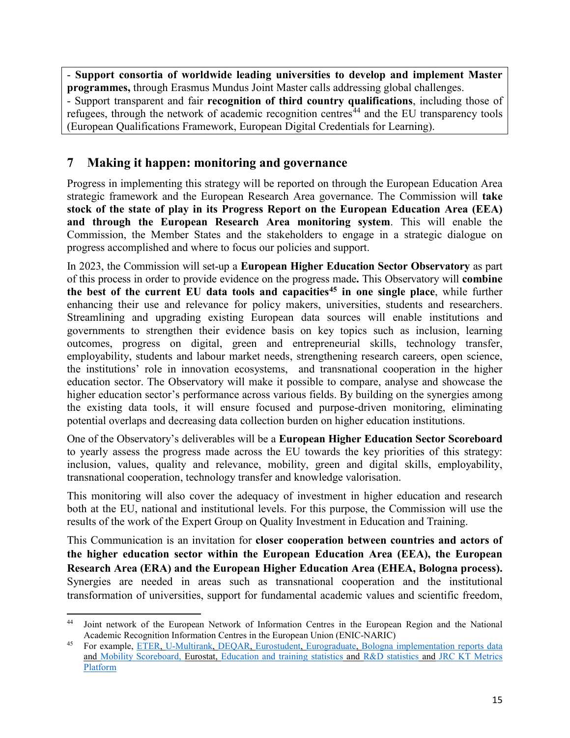- **Support consortia of worldwide leading universities to develop and implement Master programmes,** through Erasmus Mundus Joint Master calls addressing global challenges.

- Support transparent and fair **recognition of third country qualifications**, including those of refugees, through the network of academic recognition centres<sup>[44](#page-15-0)</sup> and the EU transparency tools (European Qualifications Framework, European Digital Credentials for Learning).

# **7 Making it happen: monitoring and governance**

Progress in implementing this strategy will be reported on through the European Education Area strategic framework and the European Research Area governance. The Commission will **take stock of the state of play in its Progress Report on the European Education Area (EEA) and through the European Research Area monitoring system**. This will enable the Commission, the Member States and the stakeholders to engage in a strategic dialogue on progress accomplished and where to focus our policies and support.

In 2023, the Commission will set-up a **European Higher Education Sector Observatory** as part of this process in order to provide evidence on the progress made**.** This Observatory will **combine the best of the current EU data tools and capacities[45](#page-15-1) in one single place**, while further enhancing their use and relevance for policy makers, universities, students and researchers. Streamlining and upgrading existing European data sources will enable institutions and governments to strengthen their evidence basis on key topics such as inclusion, learning outcomes, progress on digital, green and entrepreneurial skills, technology transfer, employability, students and labour market needs, strengthening research careers, open science, the institutions' role in innovation ecosystems, and transnational cooperation in the higher education sector. The Observatory will make it possible to compare, analyse and showcase the higher education sector's performance across various fields. By building on the synergies among the existing data tools, it will ensure focused and purpose-driven monitoring, eliminating potential overlaps and decreasing data collection burden on higher education institutions.

One of the Observatory's deliverables will be a **European Higher Education Sector Scoreboard** to yearly assess the progress made across the EU towards the key priorities of this strategy: inclusion, values, quality and relevance, mobility, green and digital skills, employability, transnational cooperation, technology transfer and knowledge valorisation.

This monitoring will also cover the adequacy of investment in higher education and research both at the EU, national and institutional levels. For this purpose, the Commission will use the results of the work of the Expert Group on Quality Investment in Education and Training.

This Communication is an invitation for **closer cooperation between countries and actors of the higher education sector within the European Education Area (EEA), the European Research Area (ERA) and the European Higher Education Area (EHEA, Bologna process).**  Synergies are needed in areas such as transnational cooperation and the institutional transformation of universities, support for fundamental academic values and scientific freedom,

<span id="page-15-0"></span>l <sup>44</sup> Joint network of the European Network of Information Centres in the European Region and the National Academic Recognition Information Centres in the European Union (ENIC-NARIC)

<span id="page-15-1"></span><sup>45</sup> For example, [ETER,](https://www.eter-project.com/#/home) [U-Multirank,](https://www.umultirank.org/) [DEQAR,](https://www.eqar.eu/) [Eurostudent,](https://www.eurostudent.eu/) [Eurograduate,](https://www.eurograduate.eu/) [Bologna implementation reports](https://eacea.ec.europa.eu/national-policies/eurydice/content/european-higher-education-area-2020-bologna-process-implementation-report_en) data and [Mobility Scoreboard,](https://national-policies.eacea.ec.europa.eu/mobility-scoreboard/higher-education/scoreboard-indicators) Eurostat, [Education and training statistics](https://ec.europa.eu/eurostat/web/education-and-training/overview) and [R&D statistics](https://ec.europa.eu/eurostat/web/science-technology-innovation/overview) and [JRC KT Metrics](https://publications.jrc.ec.europa.eu/repository/handle/JRC120716)  [Platform](https://publications.jrc.ec.europa.eu/repository/handle/JRC120716)